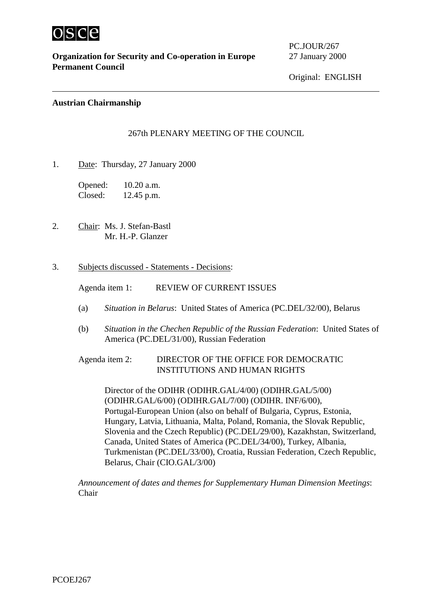

 $\overline{a}$ 

**Organization for Security and Co-operation in Europe** 27 January 2000 **Permanent Council**

PC.JOUR/267

Original: ENGLISH

### **Austrian Chairmanship**

## 267th PLENARY MEETING OF THE COUNCIL

1. Date: Thursday, 27 January 2000

Opened: 10.20 a.m. Closed: 12.45 p.m.

- 2. Chair: Ms. J. Stefan-Bastl Mr. H.-P. Glanzer
- 3. Subjects discussed Statements Decisions:

Agenda item 1: REVIEW OF CURRENT ISSUES

- (a) *Situation in Belarus*: United States of America (PC.DEL/32/00), Belarus
- (b) *Situation in the Chechen Republic of the Russian Federation*: United States of America (PC.DEL/31/00), Russian Federation

# Agenda item 2: DIRECTOR OF THE OFFICE FOR DEMOCRATIC INSTITUTIONS AND HUMAN RIGHTS

Director of the ODIHR (ODIHR.GAL/4/00) (ODIHR.GAL/5/00) (ODIHR.GAL/6/00) (ODIHR.GAL/7/00) (ODIHR. INF/6/00), Portugal-European Union (also on behalf of Bulgaria, Cyprus, Estonia, Hungary, Latvia, Lithuania, Malta, Poland, Romania, the Slovak Republic, Slovenia and the Czech Republic) (PC.DEL/29/00), Kazakhstan, Switzerland, Canada, United States of America (PC.DEL/34/00), Turkey, Albania, Turkmenistan (PC.DEL/33/00), Croatia, Russian Federation, Czech Republic, Belarus, Chair (CIO.GAL/3/00)

*Announcement of dates and themes for Supplementary Human Dimension Meetings*: Chair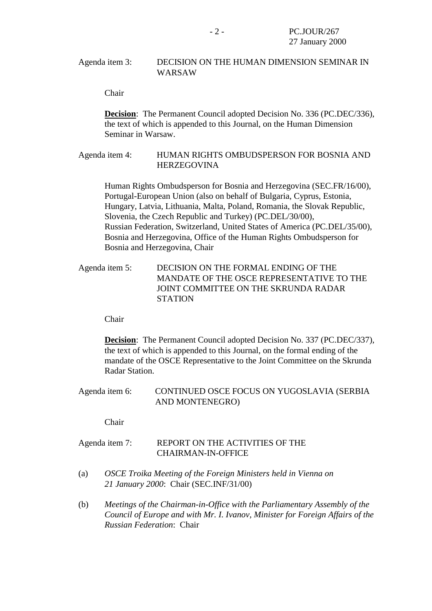### Agenda item 3: DECISION ON THE HUMAN DIMENSION SEMINAR IN WARSAW

Chair

**Decision**: The Permanent Council adopted Decision No. 336 (PC.DEC/336), the text of which is appended to this Journal, on the Human Dimension Seminar in Warsaw.

## Agenda item 4: HUMAN RIGHTS OMBUDSPERSON FOR BOSNIA AND **HERZEGOVINA**

Human Rights Ombudsperson for Bosnia and Herzegovina (SEC.FR/16/00), Portugal-European Union (also on behalf of Bulgaria, Cyprus, Estonia, Hungary, Latvia, Lithuania, Malta, Poland, Romania, the Slovak Republic, Slovenia, the Czech Republic and Turkey) (PC.DEL/30/00), Russian Federation, Switzerland, United States of America (PC.DEL/35/00), Bosnia and Herzegovina, Office of the Human Rights Ombudsperson for Bosnia and Herzegovina, Chair

# Agenda item 5: DECISION ON THE FORMAL ENDING OF THE MANDATE OF THE OSCE REPRESENTATIVE TO THE JOINT COMMITTEE ON THE SKRUNDA RADAR **STATION**

Chair

**Decision**: The Permanent Council adopted Decision No. 337 (PC.DEC/337), the text of which is appended to this Journal, on the formal ending of the mandate of the OSCE Representative to the Joint Committee on the Skrunda Radar Station.

Agenda item 6: CONTINUED OSCE FOCUS ON YUGOSLAVIA (SERBIA AND MONTENEGRO)

Chair

# Agenda item 7: REPORT ON THE ACTIVITIES OF THE CHAIRMAN-IN-OFFICE

- (a) *OSCE Troika Meeting of the Foreign Ministers held in Vienna on 21 January 2000*: Chair (SEC.INF/31/00)
- (b) *Meetings of the Chairman-in-Office with the Parliamentary Assembly of the Council of Europe and with Mr. I. Ivanov, Minister for Foreign Affairs of the Russian Federation*: Chair